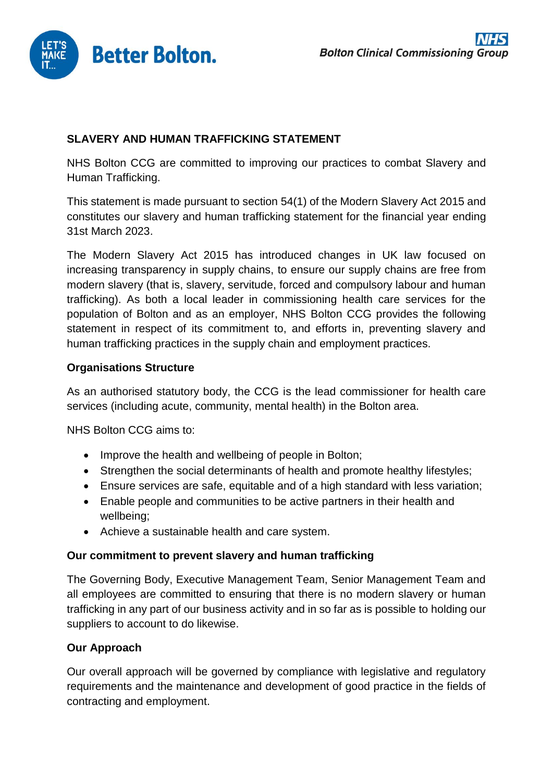

# **SLAVERY AND HUMAN TRAFFICKING STATEMENT**

NHS Bolton CCG are committed to improving our practices to combat Slavery and Human Trafficking.

This statement is made pursuant to section 54(1) of the Modern Slavery Act 2015 and constitutes our slavery and human trafficking statement for the financial year ending 31st March 2023.

The Modern Slavery Act 2015 has introduced changes in UK law focused on increasing transparency in supply chains, to ensure our supply chains are free from modern slavery (that is, slavery, servitude, forced and compulsory labour and human trafficking). As both a local leader in commissioning health care services for the population of Bolton and as an employer, NHS Bolton CCG provides the following statement in respect of its commitment to, and efforts in, preventing slavery and human trafficking practices in the supply chain and employment practices.

## **Organisations Structure**

As an authorised statutory body, the CCG is the lead commissioner for health care services (including acute, community, mental health) in the Bolton area.

NHS Bolton CCG aims to:

- Improve the health and wellbeing of people in Bolton;
- Strengthen the social determinants of health and promote healthy lifestyles;
- Ensure services are safe, equitable and of a high standard with less variation;
- Enable people and communities to be active partners in their health and wellbeing;
- Achieve a sustainable health and care system.

#### **Our commitment to prevent slavery and human trafficking**

The Governing Body, Executive Management Team, Senior Management Team and all employees are committed to ensuring that there is no modern slavery or human trafficking in any part of our business activity and in so far as is possible to holding our suppliers to account to do likewise.

## **Our Approach**

Our overall approach will be governed by compliance with legislative and regulatory requirements and the maintenance and development of good practice in the fields of contracting and employment.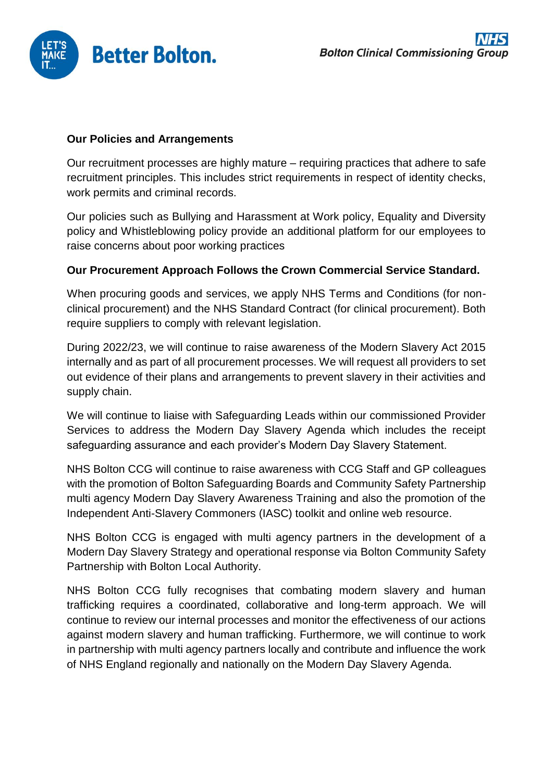

#### **Our Policies and Arrangements**

Our recruitment processes are highly mature – requiring practices that adhere to safe recruitment principles. This includes strict requirements in respect of identity checks, work permits and criminal records.

Our policies such as Bullying and Harassment at Work policy, Equality and Diversity policy and Whistleblowing policy provide an additional platform for our employees to raise concerns about poor working practices

#### **Our Procurement Approach Follows the Crown Commercial Service Standard.**

When procuring goods and services, we apply NHS Terms and Conditions (for nonclinical procurement) and the NHS Standard Contract (for clinical procurement). Both require suppliers to comply with relevant legislation.

During 2022/23, we will continue to raise awareness of the Modern Slavery Act 2015 internally and as part of all procurement processes. We will request all providers to set out evidence of their plans and arrangements to prevent slavery in their activities and supply chain.

We will continue to liaise with Safeguarding Leads within our commissioned Provider Services to address the Modern Day Slavery Agenda which includes the receipt safeguarding assurance and each provider's Modern Day Slavery Statement.

NHS Bolton CCG will continue to raise awareness with CCG Staff and GP colleagues with the promotion of Bolton Safeguarding Boards and Community Safety Partnership multi agency Modern Day Slavery Awareness Training and also the promotion of the Independent Anti-Slavery Commoners (IASC) toolkit and online web resource.

NHS Bolton CCG is engaged with multi agency partners in the development of a Modern Day Slavery Strategy and operational response via Bolton Community Safety Partnership with Bolton Local Authority.

NHS Bolton CCG fully recognises that combating modern slavery and human trafficking requires a coordinated, collaborative and long-term approach. We will continue to review our internal processes and monitor the effectiveness of our actions against modern slavery and human trafficking. Furthermore, we will continue to work in partnership with multi agency partners locally and contribute and influence the work of NHS England regionally and nationally on the Modern Day Slavery Agenda.